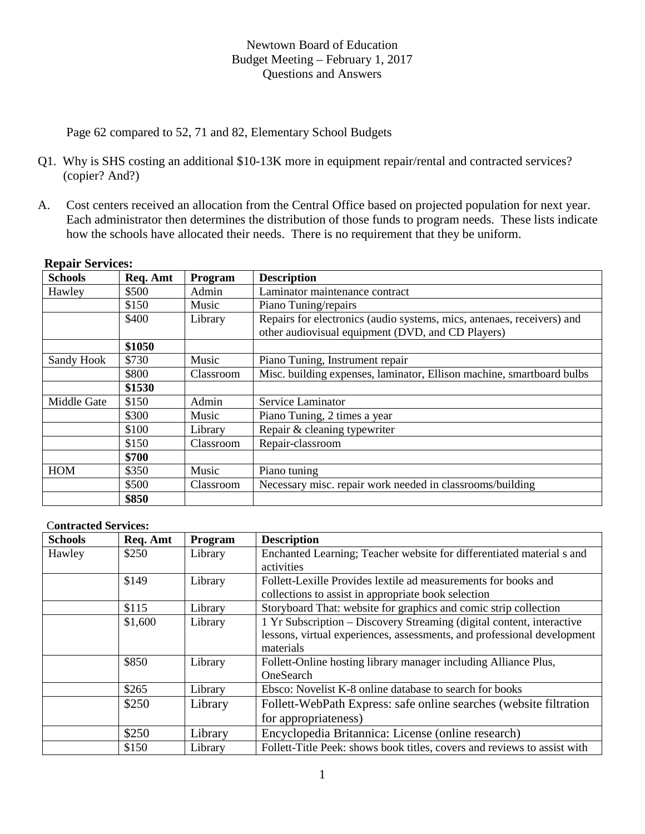Page 62 compared to 52, 71 and 82, Elementary School Budgets

- Q1. Why is SHS costing an additional \$10-13K more in equipment repair/rental and contracted services? (copier? And?)
- A. Cost centers received an allocation from the Central Office based on projected population for next year. Each administrator then determines the distribution of those funds to program needs. These lists indicate how the schools have allocated their needs. There is no requirement that they be uniform.

| <b>Schools</b>               | Req. Amt | Program   | <b>Description</b>                                                     |  |  |
|------------------------------|----------|-----------|------------------------------------------------------------------------|--|--|
| Hawley                       | \$500    | Admin     | Laminator maintenance contract                                         |  |  |
|                              | \$150    | Music     | Piano Tuning/repairs                                                   |  |  |
|                              | \$400    | Library   | Repairs for electronics (audio systems, mics, antenaes, receivers) and |  |  |
|                              |          |           | other audiovisual equipment (DVD, and CD Players)                      |  |  |
|                              | \$1050   |           |                                                                        |  |  |
| \$730<br>Sandy Hook<br>Music |          |           | Piano Tuning, Instrument repair                                        |  |  |
|                              | \$800    | Classroom | Misc. building expenses, laminator, Ellison machine, smartboard bulbs  |  |  |
|                              | \$1530   |           |                                                                        |  |  |
| Middle Gate                  | \$150    | Admin     | Service Laminator                                                      |  |  |
|                              | \$300    | Music     | Piano Tuning, 2 times a year                                           |  |  |
| \$100                        |          | Library   | Repair & cleaning typewriter                                           |  |  |
|                              | \$150    | Classroom | Repair-classroom                                                       |  |  |
|                              | \$700    |           |                                                                        |  |  |
| <b>HOM</b>                   | \$350    | Music     | Piano tuning                                                           |  |  |
|                              | \$500    | Classroom | Necessary misc. repair work needed in classrooms/building              |  |  |
|                              | \$850    |           |                                                                        |  |  |

### **Repair Services:**

#### C**ontracted Services:**

| <b>Schools</b> | Req. Amt | Program | <b>Description</b>                                                       |
|----------------|----------|---------|--------------------------------------------------------------------------|
| Hawley         | \$250    | Library | Enchanted Learning; Teacher website for differentiated material s and    |
|                |          |         | activities                                                               |
|                | \$149    | Library | Follett-Lexille Provides lextile ad measurements for books and           |
|                |          |         | collections to assist in appropriate book selection                      |
|                | \$115    | Library | Storyboard That: website for graphics and comic strip collection         |
|                | \$1,600  | Library | 1 Yr Subscription – Discovery Streaming (digital content, interactive    |
|                |          |         | lessons, virtual experiences, assessments, and professional development  |
|                |          |         | materials                                                                |
|                | \$850    | Library | Follett-Online hosting library manager including Alliance Plus,          |
|                |          |         | OneSearch                                                                |
|                | \$265    | Library | Ebsco: Novelist K-8 online database to search for books                  |
|                | \$250    | Library | Follett-WebPath Express: safe online searches (website filtration        |
|                |          |         | for appropriateness)                                                     |
|                | \$250    | Library | Encyclopedia Britannica: License (online research)                       |
|                | \$150    | Library | Follett-Title Peek: shows book titles, covers and reviews to assist with |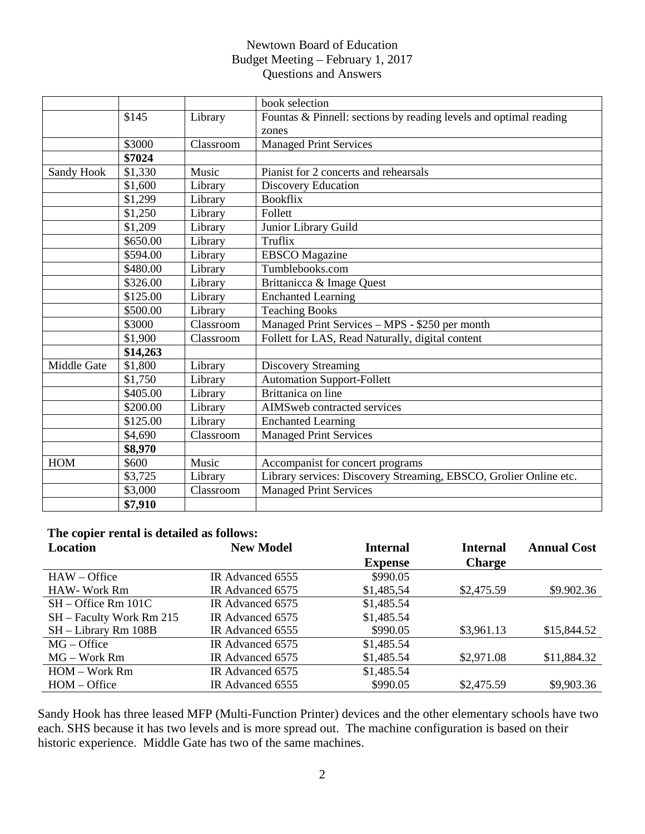|             |          |           | book selection                                                    |  |  |  |
|-------------|----------|-----------|-------------------------------------------------------------------|--|--|--|
|             | \$145    | Library   | Fountas & Pinnell: sections by reading levels and optimal reading |  |  |  |
|             |          |           | zones                                                             |  |  |  |
|             | \$3000   | Classroom | <b>Managed Print Services</b>                                     |  |  |  |
|             | \$7024   |           |                                                                   |  |  |  |
| Sandy Hook  | \$1,330  | Music     | Pianist for 2 concerts and rehearsals                             |  |  |  |
|             | \$1,600  | Library   | <b>Discovery Education</b>                                        |  |  |  |
|             | \$1,299  | Library   | <b>Bookflix</b>                                                   |  |  |  |
|             | \$1,250  | Library   | Follett                                                           |  |  |  |
|             | \$1,209  | Library   | Junior Library Guild                                              |  |  |  |
|             | \$650.00 | Library   | Truflix                                                           |  |  |  |
|             | \$594.00 | Library   | <b>EBSCO</b> Magazine                                             |  |  |  |
|             | \$480.00 | Library   | Tumblebooks.com                                                   |  |  |  |
|             | \$326.00 | Library   | Brittanicca & Image Quest                                         |  |  |  |
|             | \$125.00 | Library   | <b>Enchanted Learning</b>                                         |  |  |  |
|             | \$500.00 | Library   | <b>Teaching Books</b>                                             |  |  |  |
|             | \$3000   | Classroom | Managed Print Services - MPS - \$250 per month                    |  |  |  |
|             | \$1,900  | Classroom | Follett for LAS, Read Naturally, digital content                  |  |  |  |
|             | \$14,263 |           |                                                                   |  |  |  |
| Middle Gate | \$1,800  | Library   | <b>Discovery Streaming</b>                                        |  |  |  |
|             | \$1,750  | Library   | <b>Automation Support-Follett</b>                                 |  |  |  |
|             | \$405.00 | Library   | Brittanica on line                                                |  |  |  |
|             | \$200.00 | Library   | AIMSweb contracted services                                       |  |  |  |
|             | \$125.00 | Library   | <b>Enchanted Learning</b>                                         |  |  |  |
|             | \$4,690  | Classroom | <b>Managed Print Services</b>                                     |  |  |  |
|             | \$8,970  |           |                                                                   |  |  |  |
| HOM         | \$600    | Music     | Accompanist for concert programs                                  |  |  |  |
|             | \$3,725  | Library   | Library services: Discovery Streaming, EBSCO, Grolier Online etc. |  |  |  |
|             | \$3,000  | Classroom | <b>Managed Print Services</b>                                     |  |  |  |
|             | \$7,910  |           |                                                                   |  |  |  |

# **The copier rental is detailed as follows:**

| Location                 | <b>New Model</b> | <b>Internal</b> | <b>Internal</b> | <b>Annual Cost</b> |
|--------------------------|------------------|-----------------|-----------------|--------------------|
|                          |                  | <b>Expense</b>  | <b>Charge</b>   |                    |
| $HAW - Office$           | IR Advanced 6555 | \$990.05        |                 |                    |
| <b>HAW-Work Rm</b>       | IR Advanced 6575 | \$1,485,54      | \$2,475.59      | \$9.902.36         |
| $SH - Office Rm 101C$    | IR Advanced 6575 | \$1,485.54      |                 |                    |
| SH – Faculty Work Rm 215 | IR Advanced 6575 | \$1,485.54      |                 |                    |
| SH - Library Rm 108B     | IR Advanced 6555 | \$990.05        | \$3,961.13      | \$15,844.52        |
| $MG - Office$            | IR Advanced 6575 | \$1,485.54      |                 |                    |
| MG – Work Rm             | IR Advanced 6575 | \$1,485.54      | \$2,971.08      | \$11,884.32        |
| HOM – Work Rm            | IR Advanced 6575 | \$1,485.54      |                 |                    |
| $HOM - Office$           | IR Advanced 6555 | \$990.05        | \$2,475.59      | \$9,903.36         |

Sandy Hook has three leased MFP (Multi-Function Printer) devices and the other elementary schools have two each. SHS because it has two levels and is more spread out. The machine configuration is based on their historic experience. Middle Gate has two of the same machines.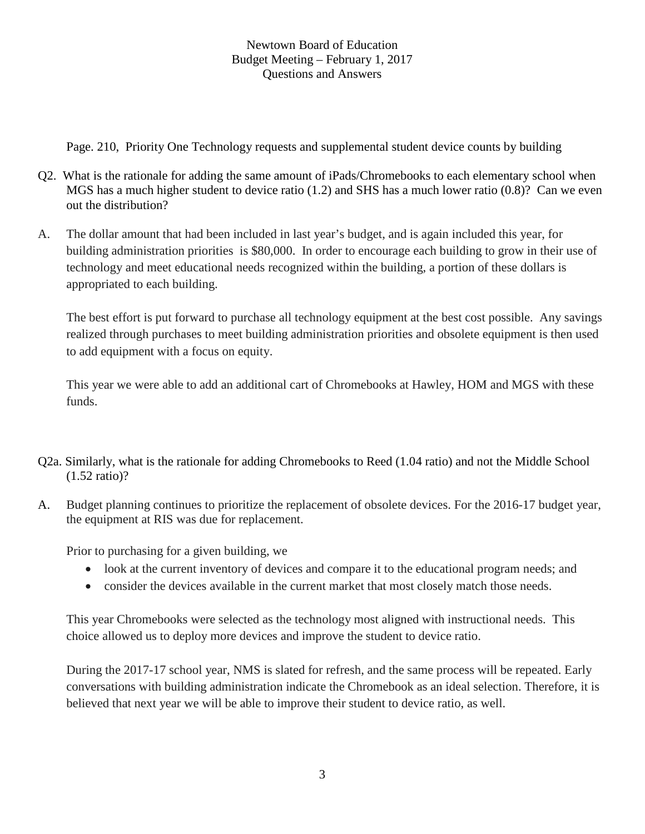Page. 210, Priority One Technology requests and supplemental student device counts by building

- Q2. What is the rationale for adding the same amount of iPads/Chromebooks to each elementary school when MGS has a much higher student to device ratio (1.2) and SHS has a much lower ratio (0.8)? Can we even out the distribution?
- A. The dollar amount that had been included in last year's budget, and is again included this year, for building administration priorities is \$80,000. In order to encourage each building to grow in their use of technology and meet educational needs recognized within the building, a portion of these dollars is appropriated to each building.

The best effort is put forward to purchase all technology equipment at the best cost possible. Any savings realized through purchases to meet building administration priorities and obsolete equipment is then used to add equipment with a focus on equity.

This year we were able to add an additional cart of Chromebooks at Hawley, HOM and MGS with these funds.

- Q2a. Similarly, what is the rationale for adding Chromebooks to Reed (1.04 ratio) and not the Middle School (1.52 ratio)?
- A. Budget planning continues to prioritize the replacement of obsolete devices. For the 2016-17 budget year, the equipment at RIS was due for replacement.

Prior to purchasing for a given building, we

- look at the current inventory of devices and compare it to the educational program needs; and
- consider the devices available in the current market that most closely match those needs.

This year Chromebooks were selected as the technology most aligned with instructional needs. This choice allowed us to deploy more devices and improve the student to device ratio.

During the 2017-17 school year, NMS is slated for refresh, and the same process will be repeated. Early conversations with building administration indicate the Chromebook as an ideal selection. Therefore, it is believed that next year we will be able to improve their student to device ratio, as well.